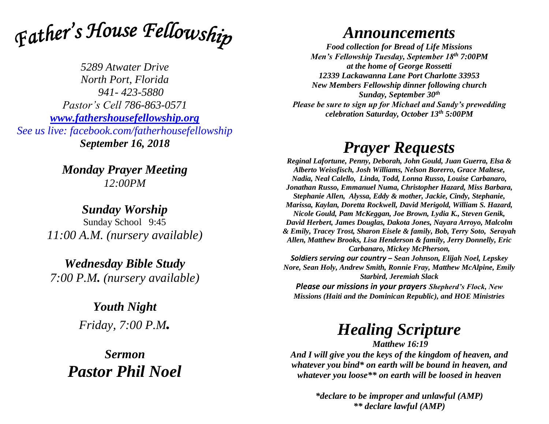

*5289 Atwater Drive North Port, Florida 941- 423-5880 Pastor's Cell 786-863-0571 [www.fathershousefellowship.org](http://www.fathershousefellowship.org/) See us live: facebook.com/fatherhousefellowship September 16, 2018*

> *Monday Prayer Meeting 12:00PM*

*Sunday Worship* Sunday School 9:45 *11:00 A.M. (nursery available)*

*Wednesday Bible Study 7:00 P.M. (nursery available)*

> *Youth Night Friday, 7:00 P.M.*

*Sermon Pastor Phil Noel*

## *Announcements*

*Food collection for Bread of Life Missions Men's Fellowship Tuesday, September 18th 7:00PM at the home of George Rossetti 12339 Lackawanna Lane Port Charlotte 33953 New Members Fellowship dinner following church Sunday, September 30th Please be sure to sign up for Michael and Sandy's prewedding celebration Saturday, October 13th 5:00PM*

## *Prayer Requests*

*Reginal Lafortune, Penny, Deborah, John Gould, Juan Guerra, Elsa & Alberto Weissfisch, Josh Williams, Nelson Borerro, Grace Maltese, Nadia, Neal Calello, Linda, Todd, Lonna Russo, Louise Carbanaro, Jonathan Russo, Emmanuel Numa, Christopher Hazard, Miss Barbara, Stephanie Allen, Alyssa, Eddy & mother, Jackie, Cindy, Stephanie, Marissa, Kaylan, Doretta Rockwell, David Merigold, William S. Hazard, Nicole Gould, Pam McKeggan, Joe Brown, Lydia K., Steven Genik, David Herbert, James Douglas, Dakota Jones, Nayara Arroyo, Malcolm & Emily, Tracey Trost, Sharon Eisele & family, Bob, Terry Soto, Serayah Allen, Matthew Brooks, Lisa Henderson & family, Jerry Donnelly, Eric Carbanaro, Mickey McPherson,* 

*Soldiers serving our country – Sean Johnson, Elijah Noel, Lepskey Nore, Sean Holy, Andrew Smith, Ronnie Fray, Matthew McAlpine, Emily Starbird, Jeremiah Slack*

*Please our missions in your prayers Shepherd's Flock, New Missions (Haiti and the Dominican Republic), and HOE Ministries*

## *Healing Scripture*

*Matthew 16:19 And I will give you the keys of the kingdom of heaven, and whatever you bind\* on earth will be bound in heaven, and whatever you loose\*\* on earth will be loosed in heaven*

> *\*declare to be improper and unlawful (AMP) \*\* declare lawful (AMP)*